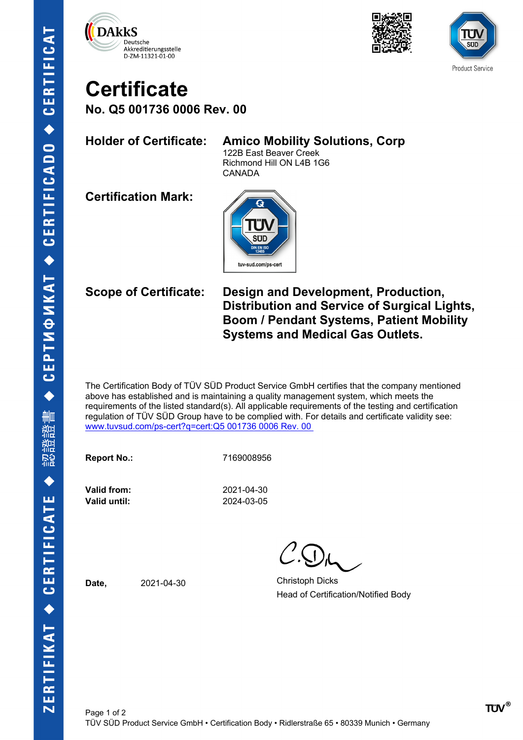





# **Certificate**

**No. Q5 001736 0006 Rev. 00**

### **Holder of Certificate: Amico Mobility Solutions, Corp**

122B East Beaver Creek Richmond Hill ON L4B 1G6 CANADA

**Certification Mark:**



**Scope of Certificate: Design and Development, Production, Distribution and Service of Surgical Lights, Boom / Pendant Systems, Patient Mobility Systems and Medical Gas Outlets.**

The Certification Body of TÜV SÜD Product Service GmbH certifies that the company mentioned above has established and is maintaining a quality management system, which meets the requirements of the listed standard(s). All applicable requirements of the testing and certification regulation of TÜV SÜD Group have to be complied with. For details and certificate validity see: [www.tuvsud.com/ps-cert?q=cert:Q5 001736 0006 Rev. 00](http://www.tuvsud.com/ps-cert?q=cert:Q5%20001736%200006%20Rev.%2000%C2%A0) 

**Report No.:** 7169008956

**Valid until:** 2024-03-05

**Valid from:** 2021-04-30

**Date,** 2021-04-30 Christoph Dicks Head of Certification/Notified Body